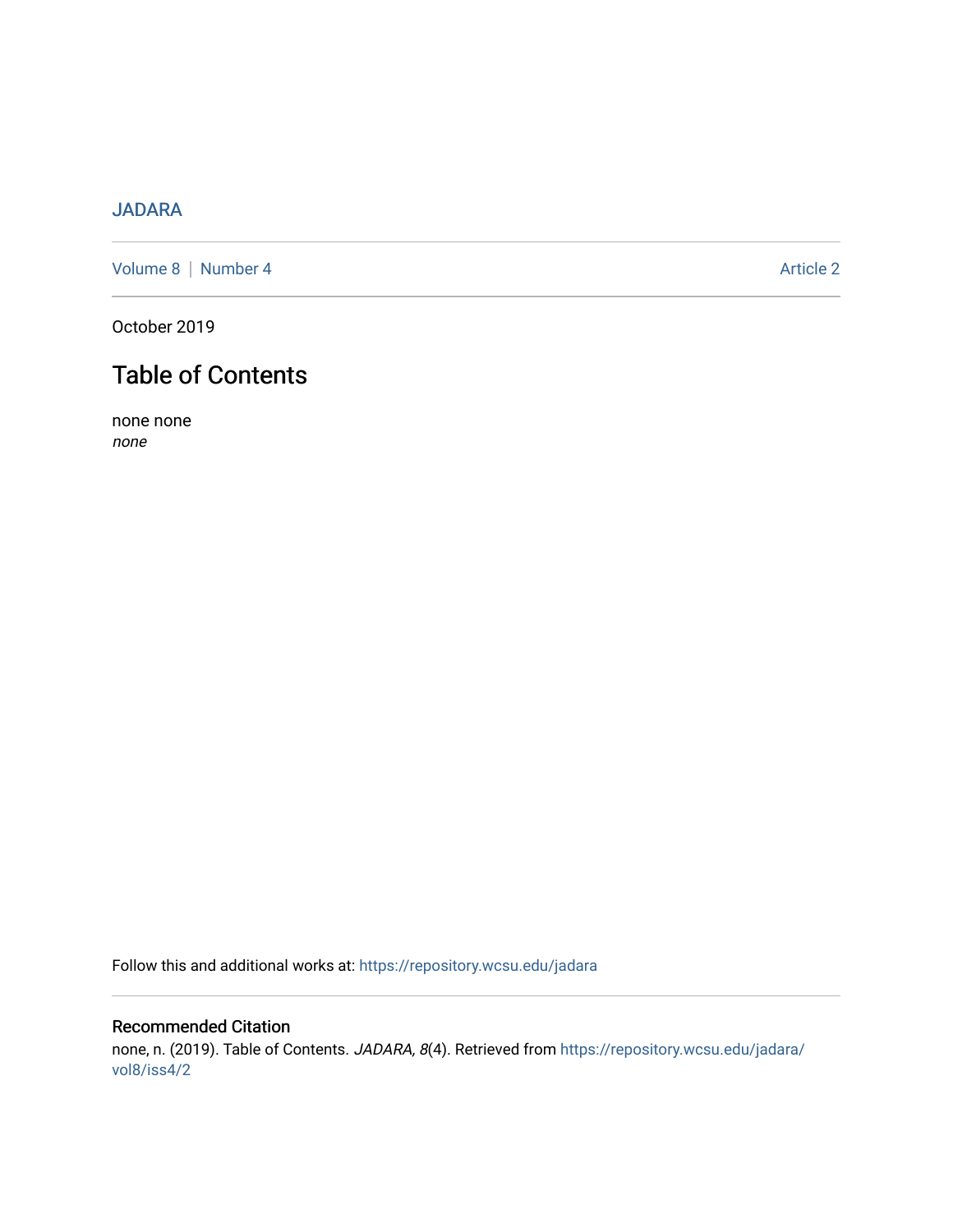## [JADARA](https://repository.wcsu.edu/jadara)

[Volume 8](https://repository.wcsu.edu/jadara/vol8) | [Number 4](https://repository.wcsu.edu/jadara/vol8/iss4) Article 2

October 2019

# Table of Contents

none none none

Follow this and additional works at: [https://repository.wcsu.edu/jadara](https://repository.wcsu.edu/jadara?utm_source=repository.wcsu.edu%2Fjadara%2Fvol8%2Fiss4%2F2&utm_medium=PDF&utm_campaign=PDFCoverPages)

## Recommended Citation none, n. (2019). Table of Contents. JADARA, 8(4). Retrieved from [https://repository.wcsu.edu/jadara/](https://repository.wcsu.edu/jadara/vol8/iss4/2?utm_source=repository.wcsu.edu%2Fjadara%2Fvol8%2Fiss4%2F2&utm_medium=PDF&utm_campaign=PDFCoverPages)

[vol8/iss4/2](https://repository.wcsu.edu/jadara/vol8/iss4/2?utm_source=repository.wcsu.edu%2Fjadara%2Fvol8%2Fiss4%2F2&utm_medium=PDF&utm_campaign=PDFCoverPages)